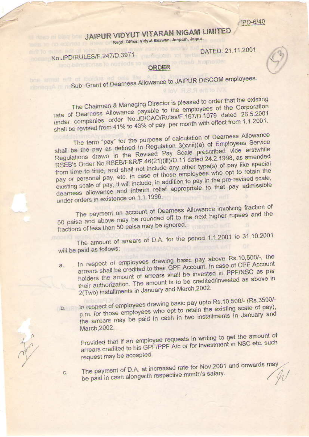PD-6/40

## **JAIPUR VIDYUT VITARAN NIGAM LIMITED** Regd. Office: Vidyut Bhawan, Janpath, Jalpur.

DATED: 21.11.2001

## No.JPD/RULES/F.247/D.3971

C.

## ORDER

## Sub: Grant of Dearness Allowance to JAIPUR DISCOM employees.

The Chairman & Managing Director is pleased to order that the existing rate of Dearness Allowance payable to the employees of the Corporation under companies order No.JD/CAO/Rules/F.167/D.1079 dated 26.5.2001 shall be revised from 41% to 43% of pay per month with effect from 1.1.2001.

The term "pay" for the purpose of calculation of Dearness Allowance shall be the pay as defined in Regulation 3(xviii)(a) of Employees Service Regulations drawn in the Revised Pay Scale prescribed vide erstwhile RSEB's Order No.RSEB/F&R/F.46(21)(iii)/D.11 dated 24.2.1998, as amended from time to time, and shall not include any other type(s) of pay like special pay or personal pay, etc. In case of those employees who opt to retain the existing scale of pay, it will include, in addition to pay in the pre-revised scale, dearness allowance and interim relief appropriate to that pay admissible under orders in existence on 1.1.1996.

The payment on account of Dearness Allowance involving fraction of 50 paisa and above may be rounded off to the next higher rupees and the fractions of less than 50 paisa may be ignored.

The amount of arrears of D.A. for the period 1.1.2001 to 31.10.2001 will be paid as follows:

- In respect of employees drawing basic pay above Rs 10,500/-, the arrears shall be credited to their GPF Account. In case of CPF Account 3. holders the amount of arrears shall be invested in PPF/NSC as per their authorization. The amount is to be credited/invested as above in 2(Two) installments in January and March, 2002.
- In respect of employees drawing basic pay upto Rs.10,500/- (Rs.3500/p.m. for those employees who opt to retain the existing scale of pay),  $b.$ the arrears may be paid in cash in two installments in January and March, 2002.

Provided that if an employee requests in writing to get the amount of arrears credited to his GPF/PPF A/c or for investment in NSC etc. such request may be accepted.

The payment of D.A. at increased rate for Nov.2001 and onwards may be paid in cash alongwith respective month's salary.